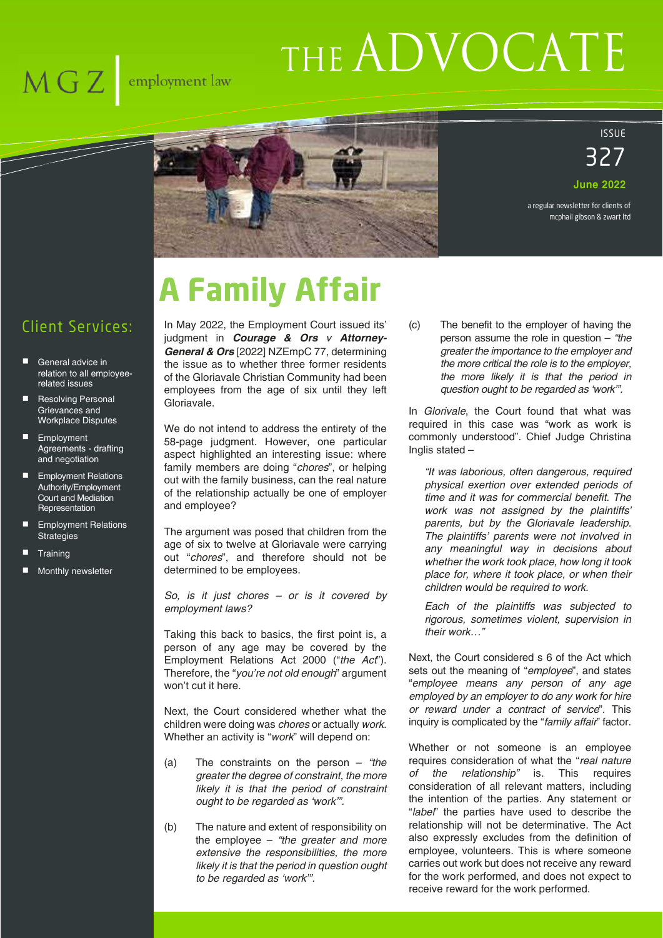# $\overline{\text{MG Z}}$  employment law

# THE ADVOCATE



## ISSUE 327

**June 2022**

a regular newsletter for clients of mcphail gibson & zwart ltd

# **A Family Affair**

Client Services:

- General advice in relation to all employeerelated issues
- Resolving Personal Grievances and Workplace Disputes
- **Employment** Agreements - drafting and negotiation
- **Employment Relations** Authority/Employment Court and Mediation **Representation**
- Employment Relations **Strategies**
- **Training**
- Monthly newsletter

In May 2022, the Employment Court issued its' judgment in *Courage & Ors v Attorney-General & Ors* [2022] NZEmpC 77, determining the issue as to whether three former residents of the Gloriavale Christian Community had been employees from the age of six until they left Gloriavale.

We do not intend to address the entirety of the 58-page judgment. However, one particular aspect highlighted an interesting issue: where family members are doing "*chores*", or helping out with the family business, can the real nature of the relationship actually be one of employer and employee?

The argument was posed that children from the age of six to twelve at Gloriavale were carrying out "*chores*", and therefore should not be determined to be employees.

*So, is it just chores – or is it covered by employment laws?*

Taking this back to basics, the first point is, a person of any age may be covered by the Employment Relations Act 2000 ("*the Act*"). Therefore, the "*you're not old enough*" argument won't cut it here.

Next, the Court considered whether what the children were doing was *chores* or actually *work*. Whether an activity is "*work*" will depend on:

- (a) The constraints on the person *"the greater the degree of constraint, the more likely it is that the period of constraint ought to be regarded as 'work'".*
- (b) The nature and extent of responsibility on the employee – *"the greater and more extensive the responsibilities, the more likely it is that the period in question ought to be regarded as 'work'".*

(c) The benefit to the employer of having the person assume the role in question – *"the greater the importance to the employer and the more critical the role is to the employer, the more likely it is that the period in question ought to be regarded as 'work'".* 

In *Glorivale*, the Court found that what was required in this case was "work as work is commonly understood". Chief Judge Christina Inglis stated –

*"It was laborious, often dangerous, required physical exertion over extended periods of time and it was for commercial benefit. The work was not assigned by the plaintiffs' parents, but by the Gloriavale leadership. The plaintiffs' parents were not involved in any meaningful way in decisions about whether the work took place, how long it took place for, where it took place, or when their children would be required to work.* 

*Each of the plaintiffs was subjected to rigorous, sometimes violent, supervision in their work…"*

Next, the Court considered s 6 of the Act which sets out the meaning of "*employee*", and states "*employee means any person of any age employed by an employer to do any work for hire or reward under a contract of service*". This inquiry is complicated by the "*family affair*" factor.

Whether or not someone is an employee requires consideration of what the "*real nature of the relationship"* is. This requires consideration of all relevant matters, including the intention of the parties. Any statement or "*label*" the parties have used to describe the relationship will not be determinative. The Act also expressly excludes from the definition of employee, volunteers. This is where someone carries out work but does not receive any reward for the work performed, and does not expect to receive reward for the work performed.